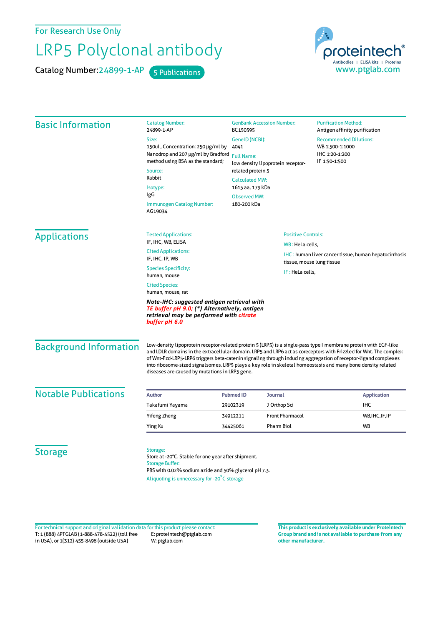For Research Use Only

## LRP5 Polyclonal antibody

Catalog Number: 24899-1-AP 5 Publications



| <b>Basic Information</b>      | <b>Catalog Number:</b><br>24899-1-AP                                                                                                                                                                                                                                                                                                                                                                                                                                                                                      | <b>GenBank Accession Number:</b><br>BC150595<br>Size:<br>GenelD (NCBI):<br>150ul, Concentration: 250 µg/ml by<br>4041                       |                           | <b>Purification Method:</b><br>Antigen affinity purification<br><b>Recommended Dilutions:</b><br>WB 1:500-1:1000 |
|-------------------------------|---------------------------------------------------------------------------------------------------------------------------------------------------------------------------------------------------------------------------------------------------------------------------------------------------------------------------------------------------------------------------------------------------------------------------------------------------------------------------------------------------------------------------|---------------------------------------------------------------------------------------------------------------------------------------------|---------------------------|------------------------------------------------------------------------------------------------------------------|
|                               |                                                                                                                                                                                                                                                                                                                                                                                                                                                                                                                           |                                                                                                                                             |                           |                                                                                                                  |
|                               |                                                                                                                                                                                                                                                                                                                                                                                                                                                                                                                           |                                                                                                                                             |                           |                                                                                                                  |
|                               | Nanodrop and 207 µg/ml by Bradford<br><b>Full Name:</b>                                                                                                                                                                                                                                                                                                                                                                                                                                                                   |                                                                                                                                             | IHC 1:20-1:200            |                                                                                                                  |
|                               | method using BSA as the standard;                                                                                                                                                                                                                                                                                                                                                                                                                                                                                         | low density lipoprotein receptor-<br>related protein 5<br>Rabbit<br><b>Calculated MW:</b><br>1615 aa, 179 kDa<br>IgG<br><b>Observed MW:</b> |                           | IF 1:50-1:500                                                                                                    |
|                               | Source:                                                                                                                                                                                                                                                                                                                                                                                                                                                                                                                   |                                                                                                                                             |                           |                                                                                                                  |
|                               |                                                                                                                                                                                                                                                                                                                                                                                                                                                                                                                           |                                                                                                                                             |                           |                                                                                                                  |
|                               | Isotype:                                                                                                                                                                                                                                                                                                                                                                                                                                                                                                                  |                                                                                                                                             |                           |                                                                                                                  |
|                               |                                                                                                                                                                                                                                                                                                                                                                                                                                                                                                                           |                                                                                                                                             |                           |                                                                                                                  |
|                               | 180-200 kDa<br>Immunogen Catalog Number:<br>AG19034                                                                                                                                                                                                                                                                                                                                                                                                                                                                       |                                                                                                                                             |                           |                                                                                                                  |
| <b>Applications</b>           | <b>Tested Applications:</b>                                                                                                                                                                                                                                                                                                                                                                                                                                                                                               |                                                                                                                                             | <b>Positive Controls:</b> |                                                                                                                  |
|                               | IF, IHC, WB, ELISA                                                                                                                                                                                                                                                                                                                                                                                                                                                                                                        | WB: HeLa cells,                                                                                                                             |                           |                                                                                                                  |
|                               | <b>Cited Applications:</b>                                                                                                                                                                                                                                                                                                                                                                                                                                                                                                |                                                                                                                                             |                           | IHC : human liver cancer tissue, human hepatocirrhosis                                                           |
|                               | IF, IHC, IP, WB                                                                                                                                                                                                                                                                                                                                                                                                                                                                                                           | tissue, mouse lung tissue                                                                                                                   |                           |                                                                                                                  |
|                               | <b>Species Specificity:</b><br>human, mouse                                                                                                                                                                                                                                                                                                                                                                                                                                                                               | IF: HeLa cells,                                                                                                                             |                           |                                                                                                                  |
|                               | <b>Cited Species:</b><br>human, mouse, rat                                                                                                                                                                                                                                                                                                                                                                                                                                                                                |                                                                                                                                             |                           |                                                                                                                  |
|                               | Note-IHC: suggested antigen retrieval with<br>TE buffer pH 9.0; (*) Alternatively, antigen<br>retrieval may be performed with citrate<br>buffer pH 6.0                                                                                                                                                                                                                                                                                                                                                                    |                                                                                                                                             |                           |                                                                                                                  |
| <b>Background Information</b> | Low-density lipoprotein receptor-related protein 5 (LRP5) is a single-pass type I membrane protein with EGF-like<br>and LDLR domains in the extracellular domain. LRP5 and LRP6 act as coreceptors with Frizzled for Wnt. The complex<br>of Wnt-Fzd-LRP5-LRP6 triggers beta-catenin signaling through inducing aggregation of receptor-ligand complexes<br>into ribosome-sized signalsomes. LRP5 plays a key role in skeletal homeostasis and many bone density related<br>diseases are caused by mutations in LRP5 gene. |                                                                                                                                             |                           |                                                                                                                  |
| <b>Notable Publications</b>   | <b>Author</b>                                                                                                                                                                                                                                                                                                                                                                                                                                                                                                             | <b>Pubmed ID</b>                                                                                                                            | <b>Journal</b>            | <b>Application</b>                                                                                               |
|                               | Takafumi Yayama                                                                                                                                                                                                                                                                                                                                                                                                                                                                                                           | 29102319                                                                                                                                    | J Orthop Sci              | IHC                                                                                                              |
|                               | <b>Yifeng Zheng</b>                                                                                                                                                                                                                                                                                                                                                                                                                                                                                                       | 34912211                                                                                                                                    | <b>Front Pharmacol</b>    | WB, IHC, IF, IP                                                                                                  |
|                               |                                                                                                                                                                                                                                                                                                                                                                                                                                                                                                                           |                                                                                                                                             |                           |                                                                                                                  |
|                               |                                                                                                                                                                                                                                                                                                                                                                                                                                                                                                                           |                                                                                                                                             | Pharm Biol                | <b>WB</b>                                                                                                        |
|                               | Ying Xu                                                                                                                                                                                                                                                                                                                                                                                                                                                                                                                   | 34425061                                                                                                                                    |                           |                                                                                                                  |
| <b>Storage</b>                | Storage:<br>Store at -20°C. Stable for one year after shipment.<br><b>Storage Buffer:</b><br>PBS with 0.02% sodium azide and 50% glycerol pH 7.3.                                                                                                                                                                                                                                                                                                                                                                         |                                                                                                                                             |                           |                                                                                                                  |

T: 1 (888) 4PTGLAB (1-888-478-4522) (toll free in USA), or 1(312) 455-8498 (outside USA) E: proteintech@ptglab.com W: ptglab.com Fortechnical support and original validation data forthis product please contact: **This productis exclusively available under Proteintech**

**Group brand and is not available to purchase from any other manufacturer.**